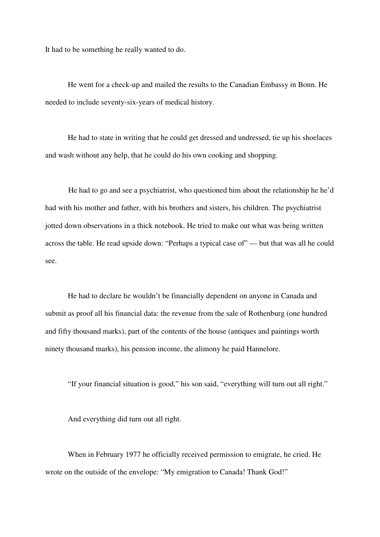It had to be something he really wanted to do.

 He went for a check-up and mailed the results to the Canadian Embassy in Bonn. He needed to include seventy-six-years of medical history.

 He had to state in writing that he could get dressed and undressed, tie up his shoelaces and wash without any help, that he could do his own cooking and shopping.

He had to go and see a psychiatrist, who questioned him about the relationship he he'd had with his mother and father, with his brothers and sisters, his children. The psychiatrist jotted down observations in a thick notebook. He tried to make out what was being written across the table. He read upside down: "Perhaps a typical case of" — but that was all he could see.

 He had to declare he wouldn't be financially dependent on anyone in Canada and submit as proof all his financial data: the revenue from the sale of Rothenburg (one hundred and fifty thousand marks), part of the contents of the house (antiques and paintings worth ninety thousand marks), his pension income, the alimony he paid Hannelore.

"If your financial situation is good," his son said, "everything will turn out all right."

And everything did turn out all right.

 When in February 1977 he officially received permission to emigrate, he cried. He wrote on the outside of the envelope: "My emigration to Canada! Thank God!"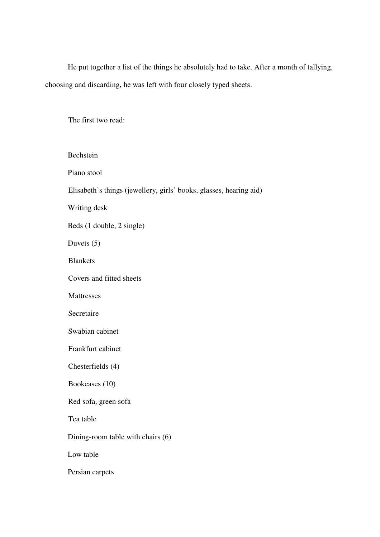He put together a list of the things he absolutely had to take. After a month of tallying, choosing and discarding, he was left with four closely typed sheets.

The first two read:

| Bechstein                                                          |
|--------------------------------------------------------------------|
| Piano stool                                                        |
| Elisabeth's things (jewellery, girls' books, glasses, hearing aid) |
| Writing desk                                                       |
| Beds (1 double, 2 single)                                          |
| Duvets $(5)$                                                       |
| <b>Blankets</b>                                                    |
| Covers and fitted sheets                                           |
| Mattresses                                                         |
| Secretaire                                                         |
| Swabian cabinet                                                    |
| Frankfurt cabinet                                                  |
| Chesterfields (4)                                                  |
| Bookcases (10)                                                     |
| Red sofa, green sofa                                               |
| Tea table                                                          |
| Dining-room table with chairs (6)                                  |
| Low table                                                          |
| Persian carpets                                                    |
|                                                                    |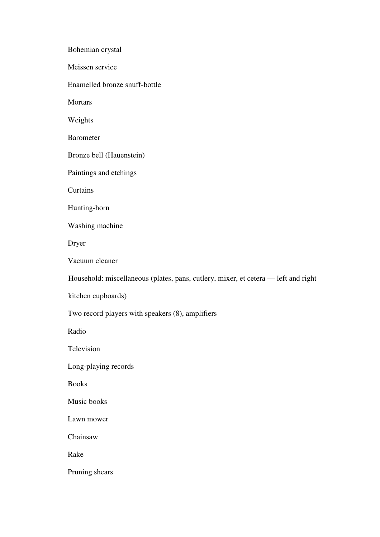Bohemian crystal Meissen service Enamelled bronze snuff-bottle **Mortars**  Weights Barometer Bronze bell (Hauenstein) Paintings and etchings Curtains Hunting-horn Washing machine Dryer Vacuum cleaner Household: miscellaneous (plates, pans, cutlery, mixer, et cetera — left and right kitchen cupboards) Two record players with speakers (8), amplifiers Radio Television Long-playing records Books Music books Lawn mower Chainsaw Rake Pruning shears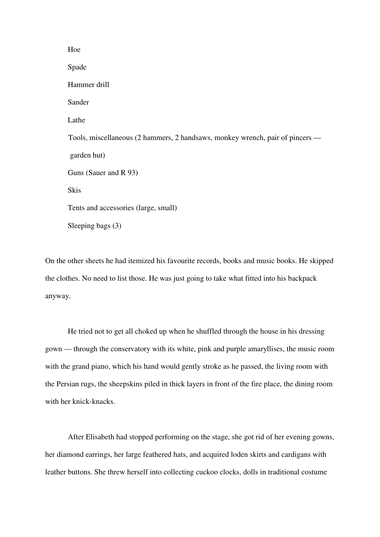Hoe Spade Hammer drill Sander Lathe Tools, miscellaneous (2 hammers, 2 handsaws, monkey wrench, pair of pincers garden hut) Guns (Sauer and R 93) **Skis**  Tents and accessories (large, small) Sleeping bags (3)

On the other sheets he had itemized his favourite records, books and music books. He skipped the clothes. No need to list those. He was just going to take what fitted into his backpack anyway.

 He tried not to get all choked up when he shuffled through the house in his dressing gown — through the conservatory with its white, pink and purple amaryllises, the music room with the grand piano, which his hand would gently stroke as he passed, the living room with the Persian rugs, the sheepskins piled in thick layers in front of the fire place, the dining room with her knick-knacks.

 After Elisabeth had stopped performing on the stage, she got rid of her evening gowns, her diamond earrings, her large feathered hats, and acquired loden skirts and cardigans with leather buttons. She threw herself into collecting cuckoo clocks, dolls in traditional costume